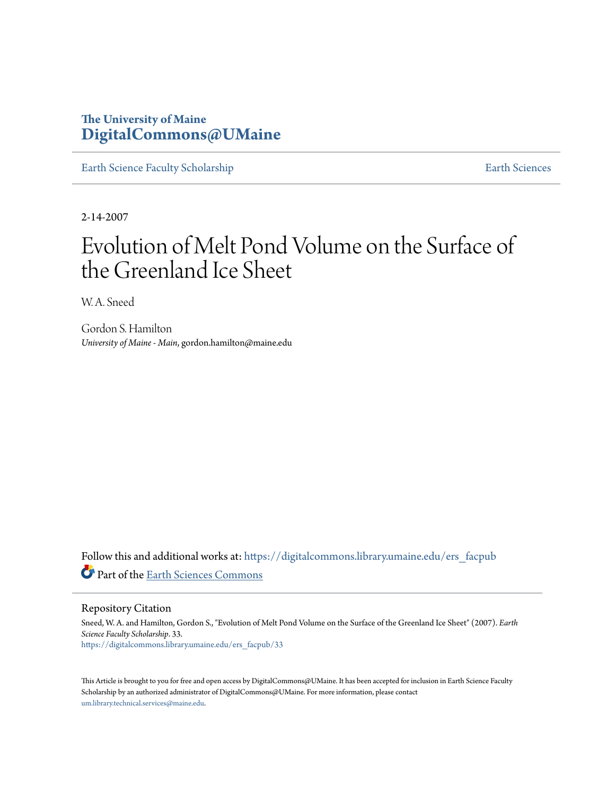# **The University of Maine [DigitalCommons@UMaine](https://digitalcommons.library.umaine.edu?utm_source=digitalcommons.library.umaine.edu%2Fers_facpub%2F33&utm_medium=PDF&utm_campaign=PDFCoverPages)**

[Earth Science Faculty Scholarship](https://digitalcommons.library.umaine.edu/ers_facpub?utm_source=digitalcommons.library.umaine.edu%2Fers_facpub%2F33&utm_medium=PDF&utm_campaign=PDFCoverPages) **[Earth Sciences](https://digitalcommons.library.umaine.edu/ers?utm_source=digitalcommons.library.umaine.edu%2Fers_facpub%2F33&utm_medium=PDF&utm_campaign=PDFCoverPages)** 

2-14-2007

# Evolution of Melt Pond Volume on the Surface of the Greenland Ice Sheet

W. A. Sneed

Gordon S. Hamilton *University of Maine - Main*, gordon.hamilton@maine.edu

Follow this and additional works at: [https://digitalcommons.library.umaine.edu/ers\\_facpub](https://digitalcommons.library.umaine.edu/ers_facpub?utm_source=digitalcommons.library.umaine.edu%2Fers_facpub%2F33&utm_medium=PDF&utm_campaign=PDFCoverPages) Part of the [Earth Sciences Commons](http://network.bepress.com/hgg/discipline/153?utm_source=digitalcommons.library.umaine.edu%2Fers_facpub%2F33&utm_medium=PDF&utm_campaign=PDFCoverPages)

Repository Citation

Sneed, W. A. and Hamilton, Gordon S., "Evolution of Melt Pond Volume on the Surface of the Greenland Ice Sheet" (2007). *Earth Science Faculty Scholarship*. 33. [https://digitalcommons.library.umaine.edu/ers\\_facpub/33](https://digitalcommons.library.umaine.edu/ers_facpub/33?utm_source=digitalcommons.library.umaine.edu%2Fers_facpub%2F33&utm_medium=PDF&utm_campaign=PDFCoverPages)

This Article is brought to you for free and open access by DigitalCommons@UMaine. It has been accepted for inclusion in Earth Science Faculty Scholarship by an authorized administrator of DigitalCommons@UMaine. For more information, please contact [um.library.technical.services@maine.edu](mailto:um.library.technical.services@maine.edu).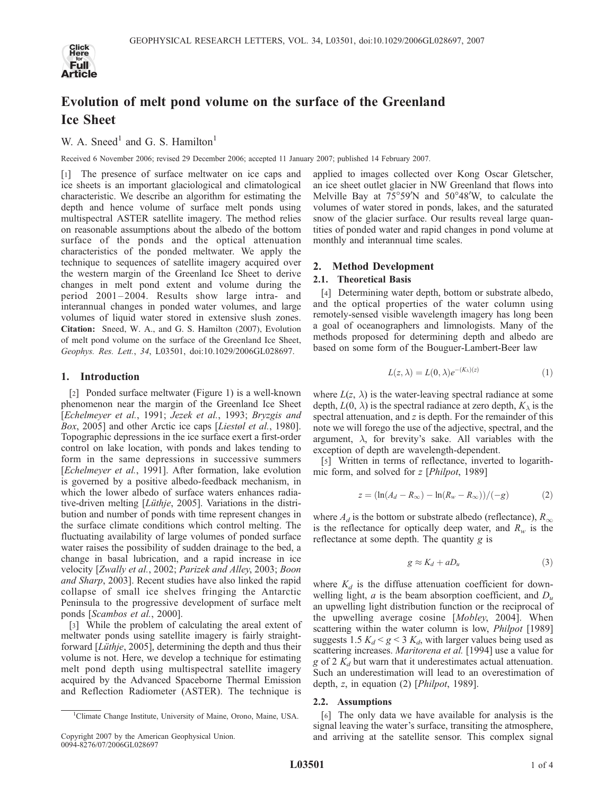

# Evolution of melt pond volume on the surface of the Greenland Ice Sheet

# W. A. Sneed<sup>1</sup> and G. S. Hamilton<sup>1</sup>

Received 6 November 2006; revised 29 December 2006; accepted 11 January 2007; published 14 February 2007.

[1] The presence of surface meltwater on ice caps and ice sheets is an important glaciological and climatological characteristic. We describe an algorithm for estimating the depth and hence volume of surface melt ponds using multispectral ASTER satellite imagery. The method relies on reasonable assumptions about the albedo of the bottom surface of the ponds and the optical attenuation characteristics of the ponded meltwater. We apply the technique to sequences of satellite imagery acquired over the western margin of the Greenland Ice Sheet to derive changes in melt pond extent and volume during the period 2001 – 2004. Results show large intra- and interannual changes in ponded water volumes, and large volumes of liquid water stored in extensive slush zones. Citation: Sneed, W. A., and G. S. Hamilton (2007), Evolution of melt pond volume on the surface of the Greenland Ice Sheet, Geophys. Res. Lett., 34, L03501, doi:10.1029/2006GL028697.

### 1. Introduction

[2] Ponded surface meltwater (Figure 1) is a well-known phenomenon near the margin of the Greenland Ice Sheet [Echelmeyer et al., 1991; Jezek et al., 1993; Bryzgis and Box, 2005] and other Arctic ice caps [Liestøl et al., 1980]. Topographic depressions in the ice surface exert a first-order control on lake location, with ponds and lakes tending to form in the same depressions in successive summers [Echelmeyer et al., 1991]. After formation, lake evolution is governed by a positive albedo-feedback mechanism, in which the lower albedo of surface waters enhances radiative-driven melting [Lüthje, 2005]. Variations in the distribution and number of ponds with time represent changes in the surface climate conditions which control melting. The fluctuating availability of large volumes of ponded surface water raises the possibility of sudden drainage to the bed, a change in basal lubrication, and a rapid increase in ice velocity [Zwally et al., 2002; Parizek and Alley, 2003; Boon and Sharp, 2003]. Recent studies have also linked the rapid collapse of small ice shelves fringing the Antarctic Peninsula to the progressive development of surface melt ponds [Scambos et al., 2000].

[3] While the problem of calculating the areal extent of meltwater ponds using satellite imagery is fairly straightforward  $[Lüthje, 2005]$ , determining the depth and thus their volume is not. Here, we develop a technique for estimating melt pond depth using multispectral satellite imagery acquired by the Advanced Spaceborne Thermal Emission and Reflection Radiometer (ASTER). The technique is

applied to images collected over Kong Oscar Gletscher, an ice sheet outlet glacier in NW Greenland that flows into Melville Bay at  $75^{\circ}59'N$  and  $50^{\circ}48'W$ , to calculate the volumes of water stored in ponds, lakes, and the saturated snow of the glacier surface. Our results reveal large quantities of ponded water and rapid changes in pond volume at monthly and interannual time scales.

# 2. Method Development

## 2.1. Theoretical Basis

[4] Determining water depth, bottom or substrate albedo, and the optical properties of the water column using remotely-sensed visible wavelength imagery has long been a goal of oceanographers and limnologists. Many of the methods proposed for determining depth and albedo are based on some form of the Bouguer-Lambert-Beer law

$$
L(z, \lambda) = L(0, \lambda)e^{-(K_{\lambda})(z)}
$$
\n(1)

where  $L(z, \lambda)$  is the water-leaving spectral radiance at some depth,  $L(0, \lambda)$  is the spectral radiance at zero depth,  $K_{\lambda}$  is the spectral attenuation, and z is depth. For the remainder of this note we will forego the use of the adjective, spectral, and the argument,  $\lambda$ , for brevity's sake. All variables with the exception of depth are wavelength-dependent.

[5] Written in terms of reflectance, inverted to logarithmic form, and solved for z [Philpot, 1989]

$$
z = (\ln(A_d - R_{\infty}) - \ln(R_w - R_{\infty})) / (-g)
$$
 (2)

where  $A_d$  is the bottom or substrate albedo (reflectance),  $R_{\infty}$ is the reflectance for optically deep water, and  $R_w$  is the reflectance at some depth. The quantity g is

$$
g \approx K_d + aD_u \tag{3}
$$

where  $K_d$  is the diffuse attenuation coefficient for downwelling light, a is the beam absorption coefficient, and  $D_u$ an upwelling light distribution function or the reciprocal of the upwelling average cosine [Mobley, 2004]. When scattering within the water column is low, *Philpot* [1989] suggests 1.5  $K_d$  < g < 3  $K_d$ , with larger values being used as scattering increases. Maritorena et al. [1994] use a value for g of 2  $K_d$  but warn that it underestimates actual attenuation. Such an underestimation will lead to an overestimation of depth, z, in equation (2) [*Philpot*, 1989].

#### 2.2. Assumptions

[6] The only data we have available for analysis is the signal leaving the water's surface, transiting the atmosphere, and arriving at the satellite sensor. This complex signal

<sup>&</sup>lt;sup>1</sup>Climate Change Institute, University of Maine, Orono, Maine, USA.

Copyright 2007 by the American Geophysical Union. 0094-8276/07/2006GL028697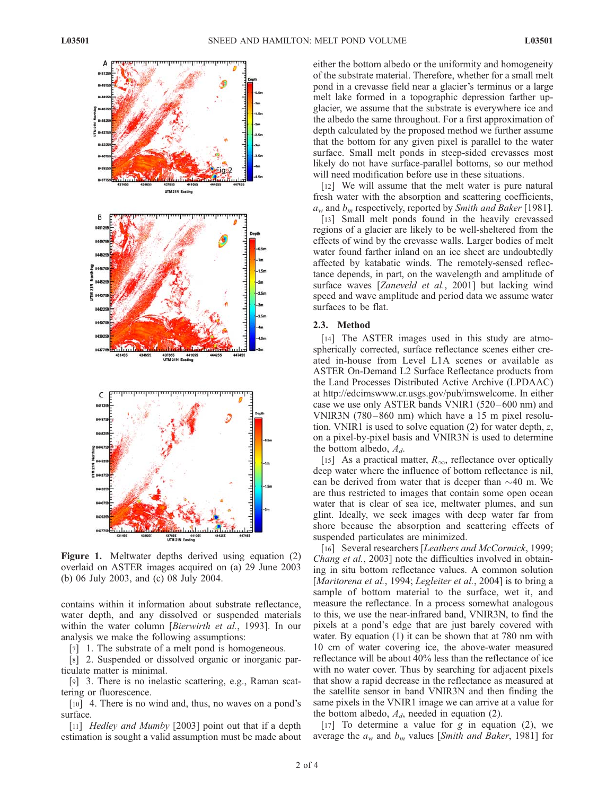

Figure 1. Meltwater depths derived using equation (2) overlaid on ASTER images acquired on (a) 29 June 2003 (b) 06 July 2003, and (c) 08 July 2004.

contains within it information about substrate reflectance, water depth, and any dissolved or suspended materials within the water column [Bierwirth et al., 1993]. In our analysis we make the following assumptions:

[7] 1. The substrate of a melt pond is homogeneous.

[8] 2. Suspended or dissolved organic or inorganic particulate matter is minimal.

[9] 3. There is no inelastic scattering, e.g., Raman scattering or fluorescence.

[10] 4. There is no wind and, thus, no waves on a pond's surface.

[11] *Hedley and Mumby* [2003] point out that if a depth estimation is sought a valid assumption must be made about either the bottom albedo or the uniformity and homogeneity of the substrate material. Therefore, whether for a small melt pond in a crevasse field near a glacier's terminus or a large melt lake formed in a topographic depression farther upglacier, we assume that the substrate is everywhere ice and the albedo the same throughout. For a first approximation of depth calculated by the proposed method we further assume that the bottom for any given pixel is parallel to the water surface. Small melt ponds in steep-sided crevasses most likely do not have surface-parallel bottoms, so our method will need modification before use in these situations.

[12] We will assume that the melt water is pure natural fresh water with the absorption and scattering coefficients,  $a_w$  and  $b_m$  respectively, reported by *Smith and Baker* [1981].

[13] Small melt ponds found in the heavily crevassed regions of a glacier are likely to be well-sheltered from the effects of wind by the crevasse walls. Larger bodies of melt water found farther inland on an ice sheet are undoubtedly affected by katabatic winds. The remotely-sensed reflectance depends, in part, on the wavelength and amplitude of surface waves [Zaneveld et al., 2001] but lacking wind speed and wave amplitude and period data we assume water surfaces to be flat.

#### 2.3. Method

[14] The ASTER images used in this study are atmospherically corrected, surface reflectance scenes either created in-house from Level L1A scenes or available as ASTER On-Demand L2 Surface Reflectance products from the Land Processes Distributed Active Archive (LPDAAC) at http://edcimswww.cr.usgs.gov/pub/imswelcome. In either case we use only ASTER bands VNIR1 (520 –600 nm) and VNIR3N (780– 860 nm) which have a 15 m pixel resolution. VNIR1 is used to solve equation (2) for water depth, z, on a pixel-by-pixel basis and VNIR3N is used to determine the bottom albedo,  $A_d$ .

[15] As a practical matter,  $R_{\infty}$ , reflectance over optically deep water where the influence of bottom reflectance is nil, can be derived from water that is deeper than  $\sim$ 40 m. We are thus restricted to images that contain some open ocean water that is clear of sea ice, meltwater plumes, and sun glint. Ideally, we seek images with deep water far from shore because the absorption and scattering effects of suspended particulates are minimized.

[16] Several researchers [Leathers and McCormick, 1999; Chang et al., 2003] note the difficulties involved in obtaining in situ bottom reflectance values. A common solution [Maritorena et al., 1994; Legleiter et al., 2004] is to bring a sample of bottom material to the surface, wet it, and measure the reflectance. In a process somewhat analogous to this, we use the near-infrared band, VNIR3N, to find the pixels at a pond's edge that are just barely covered with water. By equation (1) it can be shown that at 780 nm with 10 cm of water covering ice, the above-water measured reflectance will be about 40% less than the reflectance of ice with no water cover. Thus by searching for adjacent pixels that show a rapid decrease in the reflectance as measured at the satellite sensor in band VNIR3N and then finding the same pixels in the VNIR1 image we can arrive at a value for the bottom albedo,  $A_d$ , needed in equation (2).

[17] To determine a value for  $g$  in equation (2), we average the  $a_w$  and  $b_m$  values [Smith and Baker, 1981] for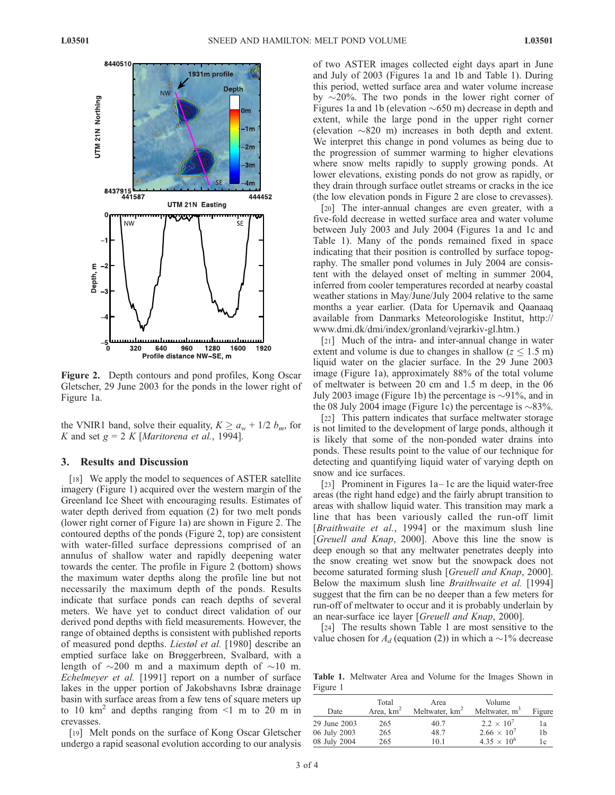

Figure 2. Depth contours and pond profiles, Kong Oscar Gletscher, 29 June 2003 for the ponds in the lower right of Figure 1a.

the VNIR1 band, solve their equality,  $K \ge a_w + 1/2$   $b_m$ , for K and set  $g = 2 K$  [Maritorena et al., 1994].

# 3. Results and Discussion

[18] We apply the model to sequences of ASTER satellite imagery (Figure 1) acquired over the western margin of the Greenland Ice Sheet with encouraging results. Estimates of water depth derived from equation (2) for two melt ponds (lower right corner of Figure 1a) are shown in Figure 2. The contoured depths of the ponds (Figure 2, top) are consistent with water-filled surface depressions comprised of an annulus of shallow water and rapidly deepening water towards the center. The profile in Figure 2 (bottom) shows the maximum water depths along the profile line but not necessarily the maximum depth of the ponds. Results indicate that surface ponds can reach depths of several meters. We have yet to conduct direct validation of our derived pond depths with field measurements. However, the range of obtained depths is consistent with published reports of measured pond depths. Liestøl et al. [1980] describe an emptied surface lake on Brøggerbreen, Svalbard, with a length of  $\sim$ 200 m and a maximum depth of  $\sim$ 10 m. Echelmeyer et al. [1991] report on a number of surface lakes in the upper portion of Jakobshavns Isbræ drainage basin with surface areas from a few tens of square meters up to 10 km<sup>2</sup> and depths ranging from  $\leq$ 1 m to 20 m in crevasses.

[19] Melt ponds on the surface of Kong Oscar Gletscher undergo a rapid seasonal evolution according to our analysis of two ASTER images collected eight days apart in June and July of 2003 (Figures 1a and 1b and Table 1). During this period, wetted surface area and water volume increase by  $\sim$ 20%. The two ponds in the lower right corner of Figures 1a and 1b (elevation  $\sim 650$  m) decrease in depth and extent, while the large pond in the upper right corner (elevation  $\sim 820$  m) increases in both depth and extent. We interpret this change in pond volumes as being due to the progression of summer warming to higher elevations where snow melts rapidly to supply growing ponds. At lower elevations, existing ponds do not grow as rapidly, or they drain through surface outlet streams or cracks in the ice (the low elevation ponds in Figure 2 are close to crevasses).

[20] The inter-annual changes are even greater, with a five-fold decrease in wetted surface area and water volume between July 2003 and July 2004 (Figures 1a and 1c and Table 1). Many of the ponds remained fixed in space indicating that their position is controlled by surface topography. The smaller pond volumes in July 2004 are consistent with the delayed onset of melting in summer 2004, inferred from cooler temperatures recorded at nearby coastal weather stations in May/June/July 2004 relative to the same months a year earlier. (Data for Upernavik and Qaanaaq available from Danmarks Meteorologiske Institut, http:// www.dmi.dk/dmi/index/gronland/vejrarkiv-gl.htm.)

[21] Much of the intra- and inter-annual change in water extent and volume is due to changes in shallow ( $z \leq 1.5$  m) liquid water on the glacier surface. In the 29 June 2003 image (Figure 1a), approximately 88% of the total volume of meltwater is between 20 cm and 1.5 m deep, in the 06 July 2003 image (Figure 1b) the percentage is  $\sim$ 91%, and in the 08 July 2004 image (Figure 1c) the percentage is  $\sim 83\%$ .

[22] This pattern indicates that surface meltwater storage is not limited to the development of large ponds, although it is likely that some of the non-ponded water drains into ponds. These results point to the value of our technique for detecting and quantifying liquid water of varying depth on snow and ice surfaces.

[23] Prominent in Figures  $1a-1c$  are the liquid water-free areas (the right hand edge) and the fairly abrupt transition to areas with shallow liquid water. This transition may mark a line that has been variously called the run-off limit [*Braithwaite et al.*, 1994] or the maximum slush line [Greuell and Knap, 2000]. Above this line the snow is deep enough so that any meltwater penetrates deeply into the snow creating wet snow but the snowpack does not become saturated forming slush [Greuell and Knap, 2000]. Below the maximum slush line Braithwaite et al. [1994] suggest that the firn can be no deeper than a few meters for run-off of meltwater to occur and it is probably underlain by an near-surface ice layer [Greuell and Knap, 2000].

[24] The results shown Table 1 are most sensitive to the value chosen for  $A_d$  (equation (2)) in which a  $\sim$ 1% decrease

Table 1. Meltwater Area and Volume for the Images Shown in Figure 1

| Date         | Total<br>Area, $km2$ | Area<br>Meltwater, km <sup>2</sup> | Volume<br>Meltwater, m <sup>3</sup> | Figure |
|--------------|----------------------|------------------------------------|-------------------------------------|--------|
| 29 June 2003 | 265                  | 40.7                               | $2.2 \times 10^{7}$                 | 1a     |
| 06 July 2003 | 265                  | 48.7                               | $2.66 \times 10^{7}$                | 1b     |
| 08 July 2004 | 265                  | 10.1                               | $4.35 \times 10^{6}$                | 1c     |